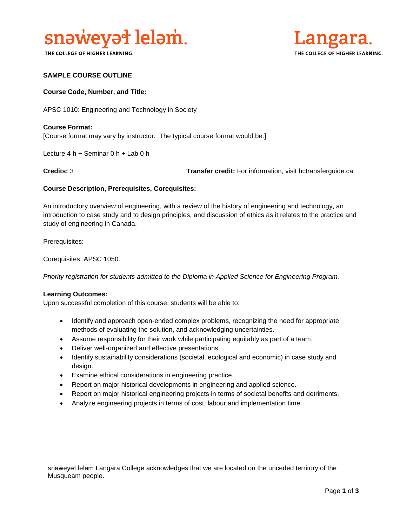

THE COLLEGE OF HIGHER LEARNING.



## **SAMPLE COURSE OUTLINE**

## **Course Code, Number, and Title:**

APSC 1010: Engineering and Technology in Society

## **Course Format:** [Course format may vary by instructor. The typical course format would be:]

Lecture 4 h + Seminar 0 h + Lab 0 h

**Credits:** 3 **Transfer credit:** For information, visit bctransferguide.ca

#### **Course Description, Prerequisites, Corequisites:**

An introductory overview of engineering, with a review of the history of engineering and technology, an introduction to case study and to design principles, and discussion of ethics as it relates to the practice and study of engineering in Canada.

Prerequisites:

Corequisites: APSC 1050.

*Priority registration for students admitted to the Diploma in Applied Science for Engineering Program*.

#### **Learning Outcomes:**

Upon successful completion of this course, students will be able to:

- Identify and approach open-ended complex problems, recognizing the need for appropriate methods of evaluating the solution, and acknowledging uncertainties.
- Assume responsibility for their work while participating equitably as part of a team.
- Deliver well-organized and effective presentations
- Identify sustainability considerations (societal, ecological and economic) in case study and design.
- Examine ethical considerations in engineering practice.
- Report on major historical developments in engineering and applied science.
- Report on major historical engineering projects in terms of societal benefits and detriments.
- Analyze engineering projects in terms of cost, labour and implementation time.

snəweyał leləm Langara College acknowledges that we are located on the unceded territory of the Musqueam people.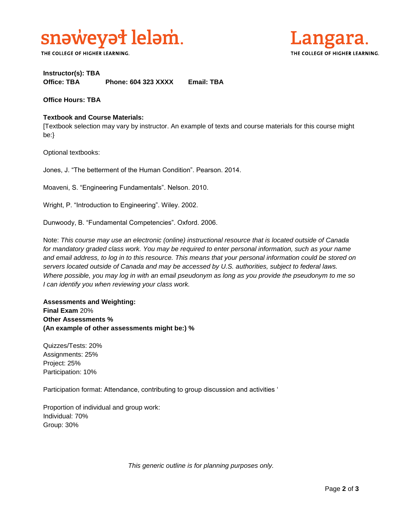

THE COLLEGE OF HIGHER LEARNING.



## **Instructor(s): TBA Office: TBA Phone: 604 323 XXXX Email: TBA**

**Office Hours: TBA** 

## **Textbook and Course Materials:**

[Textbook selection may vary by instructor. An example of texts and course materials for this course might be:}

Optional textbooks:

Jones, J. "The betterment of the Human Condition". Pearson. 2014.

Moaveni, S. "Engineering Fundamentals". Nelson. 2010.

Wright, P. "Introduction to Engineering". Wiley. 2002.

Dunwoody, B. "Fundamental Competencies". Oxford. 2006.

Note: *This course may use an electronic (online) instructional resource that is located outside of Canada*  for mandatory graded class work. You may be required to enter personal information, such as your name *and email address, to log in to this resource. This means that your personal information could be stored on servers located outside of Canada and may be accessed by U.S. authorities, subject to federal laws. Where possible, you may log in with an email pseudonym as long as you provide the pseudonym to me so I can identify you when reviewing your class work.* 

## **Assessments and Weighting: Final Exam** 20% **Other Assessments % (An example of other assessments might be:) %**

Quizzes/Tests: 20% Assignments: 25% Project: 25% Participation: 10%

Participation format: Attendance, contributing to group discussion and activities '

Proportion of individual and group work: Individual: 70% Group: 30%

*This generic outline is for planning purposes only.*